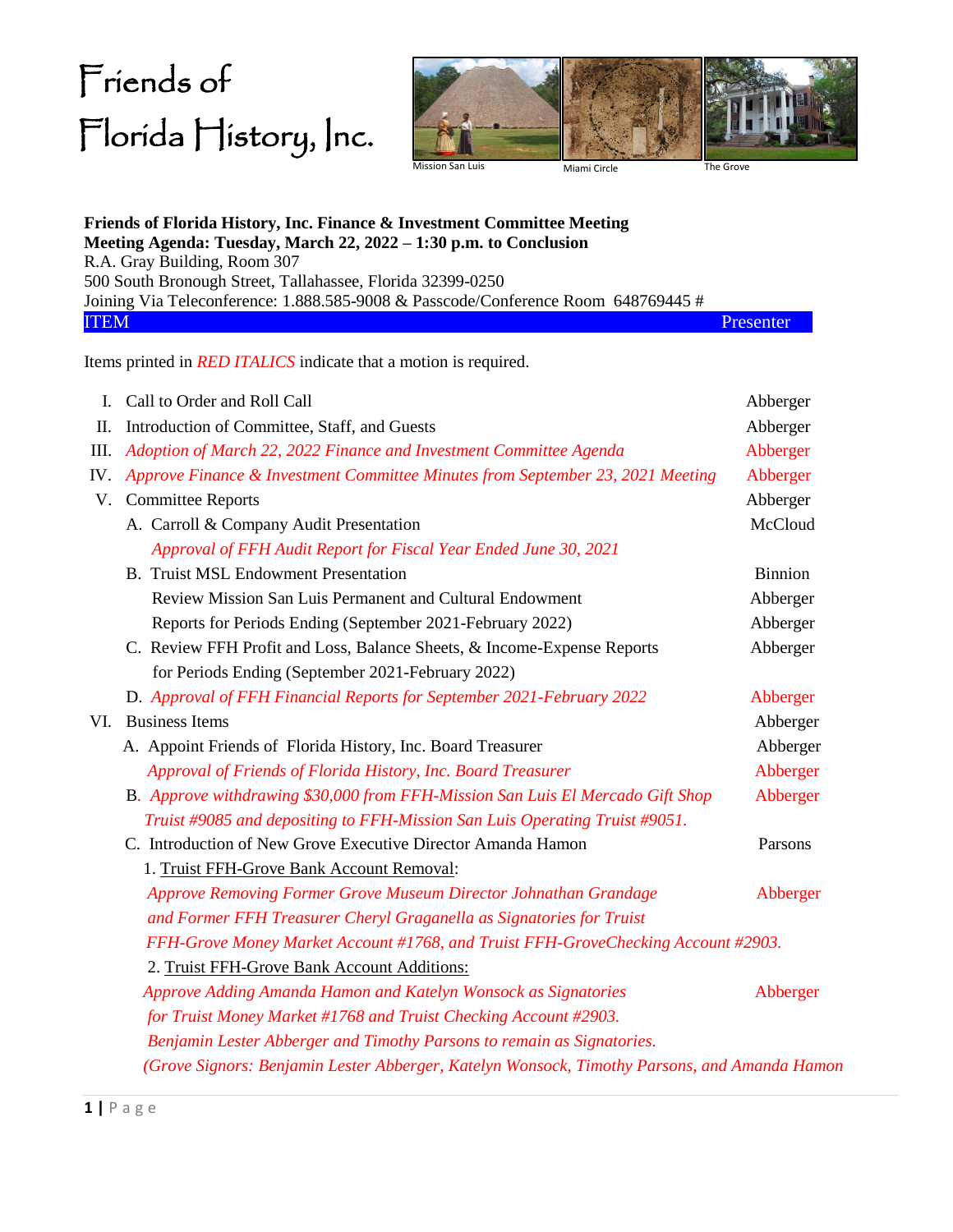## Friends of Florida History, Inc.



|                | Friends of Florida History, Inc. Finance & Investment Committee Meeting<br>Meeting Agenda: Tuesday, March 22, 2022 - 1:30 p.m. to Conclusion |                |  |  |  |
|----------------|----------------------------------------------------------------------------------------------------------------------------------------------|----------------|--|--|--|
|                | R.A. Gray Building, Room 307                                                                                                                 |                |  |  |  |
|                | 500 South Bronough Street, Tallahassee, Florida 32399-0250                                                                                   |                |  |  |  |
|                | Joining Via Teleconference: 1.888.585-9008 & Passcode/Conference Room 648769445 #                                                            |                |  |  |  |
| <b>ITEM</b>    |                                                                                                                                              | Presenter      |  |  |  |
|                | Items printed in <i>RED ITALICS</i> indicate that a motion is required.                                                                      |                |  |  |  |
| $\mathbf{I}$ . | Call to Order and Roll Call                                                                                                                  | Abberger       |  |  |  |
| П.             | Introduction of Committee, Staff, and Guests                                                                                                 | Abberger       |  |  |  |
| III.           | Adoption of March 22, 2022 Finance and Investment Committee Agenda                                                                           | Abberger       |  |  |  |
| IV.            | Approve Finance & Investment Committee Minutes from September 23, 2021 Meeting                                                               | Abberger       |  |  |  |
| V.             | <b>Committee Reports</b>                                                                                                                     | Abberger       |  |  |  |
|                | A. Carroll & Company Audit Presentation                                                                                                      | McCloud        |  |  |  |
|                | Approval of FFH Audit Report for Fiscal Year Ended June 30, 2021                                                                             |                |  |  |  |
|                | <b>B.</b> Truist MSL Endowment Presentation                                                                                                  | <b>Binnion</b> |  |  |  |
|                | Review Mission San Luis Permanent and Cultural Endowment                                                                                     | Abberger       |  |  |  |
|                | Reports for Periods Ending (September 2021-February 2022)                                                                                    | Abberger       |  |  |  |
|                | C. Review FFH Profit and Loss, Balance Sheets, & Income-Expense Reports                                                                      | Abberger       |  |  |  |
|                | for Periods Ending (September 2021-February 2022)                                                                                            |                |  |  |  |
|                | D. Approval of FFH Financial Reports for September 2021-February 2022                                                                        | Abberger       |  |  |  |
| VI.            | <b>Business Items</b>                                                                                                                        | Abberger       |  |  |  |
|                | A. Appoint Friends of Florida History, Inc. Board Treasurer                                                                                  | Abberger       |  |  |  |
|                | Approval of Friends of Florida History, Inc. Board Treasurer                                                                                 | Abberger       |  |  |  |
|                | B. Approve withdrawing \$30,000 from FFH-Mission San Luis El Mercado Gift Shop                                                               | Abberger       |  |  |  |
|                | Truist #9085 and depositing to FFH-Mission San Luis Operating Truist #9051.                                                                  |                |  |  |  |
|                | C. Introduction of New Grove Executive Director Amanda Hamon                                                                                 | Parsons        |  |  |  |
|                | 1. Truist FFH-Grove Bank Account Removal:                                                                                                    |                |  |  |  |
|                | Approve Removing Former Grove Museum Director Johnathan Grandage                                                                             | Abberger       |  |  |  |
|                | and Former FFH Treasurer Cheryl Graganella as Signatories for Truist                                                                         |                |  |  |  |
|                | FFH-Grove Money Market Account #1768, and Truist FFH-GroveChecking Account #2903.                                                            |                |  |  |  |
|                | 2. Truist FFH-Grove Bank Account Additions:                                                                                                  |                |  |  |  |
|                | Approve Adding Amanda Hamon and Katelyn Wonsock as Signatories                                                                               | Abberger       |  |  |  |
|                | for Truist Money Market #1768 and Truist Checking Account #2903.                                                                             |                |  |  |  |
|                | Benjamin Lester Abberger and Timothy Parsons to remain as Signatories.                                                                       |                |  |  |  |
|                | (Grove Signors: Benjamin Lester Abberger, Katelyn Wonsock, Timothy Parsons, and Amanda Hamon                                                 |                |  |  |  |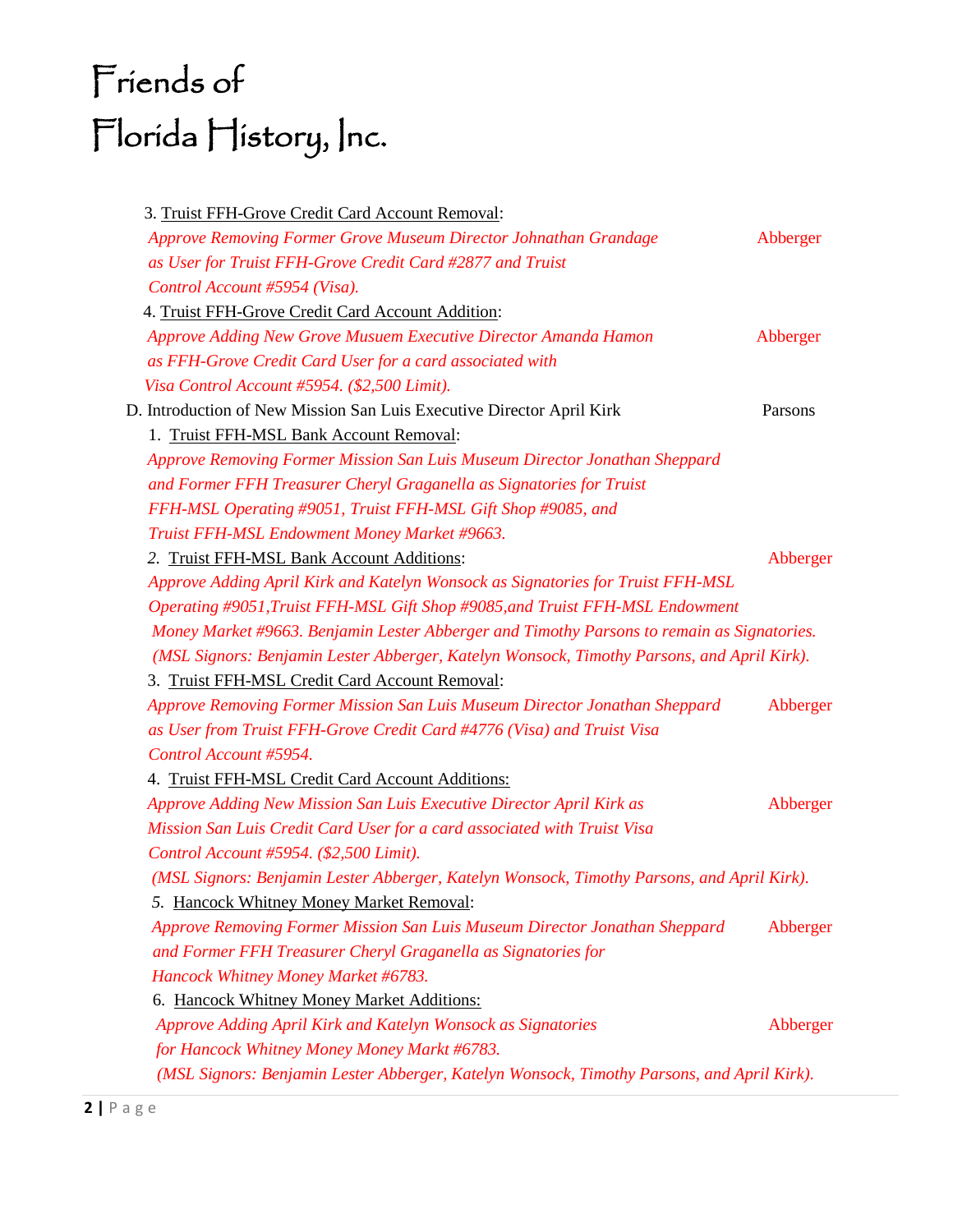## Friends of Florida History, Inc.

| 3. Truist FFH-Grove Credit Card Account Removal:                                           |          |  |
|--------------------------------------------------------------------------------------------|----------|--|
| Approve Removing Former Grove Museum Director Johnathan Grandage                           | Abberger |  |
| as User for Truist FFH-Grove Credit Card #2877 and Truist                                  |          |  |
| Control Account #5954 (Visa).                                                              |          |  |
| 4. Truist FFH-Grove Credit Card Account Addition:                                          |          |  |
| Approve Adding New Grove Musuem Executive Director Amanda Hamon                            | Abberger |  |
| as FFH-Grove Credit Card User for a card associated with                                   |          |  |
| Visa Control Account #5954. (\$2,500 Limit).                                               |          |  |
| D. Introduction of New Mission San Luis Executive Director April Kirk                      | Parsons  |  |
| 1. Truist FFH-MSL Bank Account Removal:                                                    |          |  |
| Approve Removing Former Mission San Luis Museum Director Jonathan Sheppard                 |          |  |
| and Former FFH Treasurer Cheryl Graganella as Signatories for Truist                       |          |  |
| FFH-MSL Operating #9051, Truist FFH-MSL Gift Shop #9085, and                               |          |  |
| Truist FFH-MSL Endowment Money Market #9663.                                               |          |  |
| 2. Truist FFH-MSL Bank Account Additions:                                                  | Abberger |  |
| Approve Adding April Kirk and Katelyn Wonsock as Signatories for Truist FFH-MSL            |          |  |
| Operating #9051, Truist FFH-MSL Gift Shop #9085, and Truist FFH-MSL Endowment              |          |  |
| Money Market #9663. Benjamin Lester Abberger and Timothy Parsons to remain as Signatories. |          |  |
| (MSL Signors: Benjamin Lester Abberger, Katelyn Wonsock, Timothy Parsons, and April Kirk). |          |  |
| 3. Truist FFH-MSL Credit Card Account Removal:                                             |          |  |
| Approve Removing Former Mission San Luis Museum Director Jonathan Sheppard                 | Abberger |  |
| as User from Truist FFH-Grove Credit Card #4776 (Visa) and Truist Visa                     |          |  |
| Control Account #5954.                                                                     |          |  |
| 4. Truist FFH-MSL Credit Card Account Additions:                                           |          |  |
| Approve Adding New Mission San Luis Executive Director April Kirk as                       | Abberger |  |
| Mission San Luis Credit Card User for a card associated with Truist Visa                   |          |  |
| Control Account #5954. (\$2,500 Limit).                                                    |          |  |
| (MSL Signors: Benjamin Lester Abberger, Katelyn Wonsock, Timothy Parsons, and April Kirk). |          |  |
| 5. Hancock Whitney Money Market Removal:                                                   |          |  |
| Approve Removing Former Mission San Luis Museum Director Jonathan Sheppard                 | Abberger |  |
| and Former FFH Treasurer Cheryl Graganella as Signatories for                              |          |  |
| Hancock Whitney Money Market #6783.                                                        |          |  |
| 6. Hancock Whitney Money Market Additions:                                                 |          |  |
| Approve Adding April Kirk and Katelyn Wonsock as Signatories                               | Abberger |  |
| for Hancock Whitney Money Money Markt #6783.                                               |          |  |
| (MSL Signors: Benjamin Lester Abberger, Katelyn Wonsock, Timothy Parsons, and April Kirk). |          |  |
|                                                                                            |          |  |